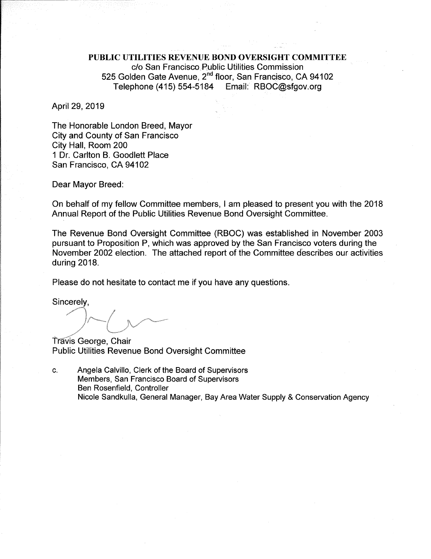PUBLIC UTILITIES REVENUE BOND OVERSIGHT COMMITTEE c/o San Francisco Public Utilities Commission 525 Golden Gate Avenue, 2<sup>nd</sup> floor, San Francisco, CA 94102 Telephone (415) 554-5184 Email: RBOC@sfgov.org

April 29, 2019

The Honorable London Breed, Mayor **City and County of San Francisco** City Hall, Room 200 1 Dr. Carlton B. Goodlett Place San Francisco, CA 94102

Dear Mayor Breed:

On behalf of my fellow Committee members, I am pleased to present you with the 2018 Annual Report of the Public Utilities Revenue Bond Oversight Committee.

The Revenue Bond Oversight Committee (RBOC) was established in November 2003 pursuant to Proposition P, which was approved by the San Francisco voters during the November 2002 election. The attached report of the Committee describes our activities during 2018.

Please do not hesitate to contact me if you have any questions.

Sincerely,

Travis George, Chair **Public Utilities Revenue Bond Oversight Committee** 

Angela Calvillo, Clerk of the Board of Supervisors C. Members, San Francisco Board of Supervisors Ben Rosenfield, Controller Nicole Sandkulla, General Manager, Bay Area Water Supply & Conservation Agency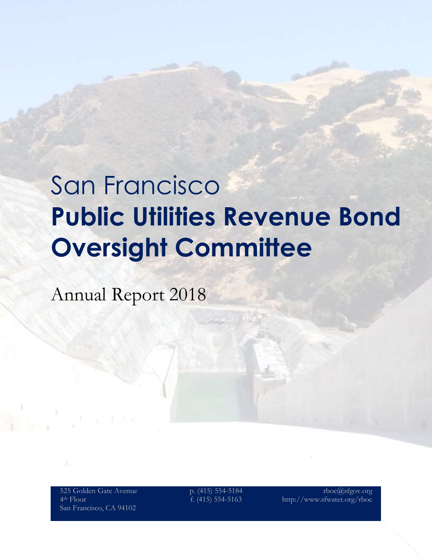# San Francisco **Public Utilities Revenue Bond Oversight Committee**

Annual Report 2018

525 Golden Gate Avenue 4th Floor San Francisco, CA 94102

p. (415) 554-5184 f. (415) 554-5163

rboc@sfgov.org http://www.sfwater.org/rboc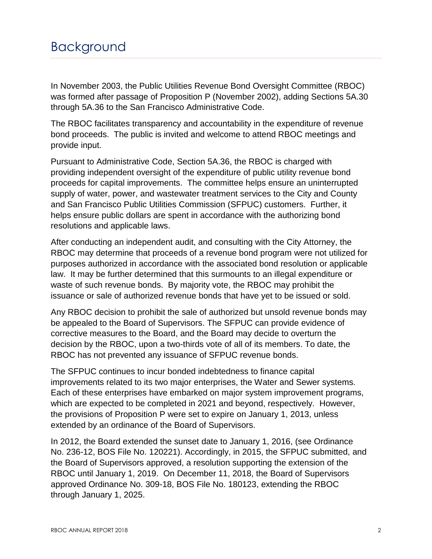In November 2003, the Public Utilities Revenue Bond Oversight Committee (RBOC) was formed after passage of Proposition P (November 2002), adding Sections 5A.30 through 5A.36 to the San Francisco Administrative Code.

The RBOC facilitates transparency and accountability in the expenditure of revenue bond proceeds. The public is invited and welcome to attend RBOC meetings and provide input.

Pursuant to Administrative Code, Section 5A.36, the RBOC is charged with providing independent oversight of the expenditure of public utility revenue bond proceeds for capital improvements. The committee helps ensure an uninterrupted supply of water, power, and wastewater treatment services to the City and County and San Francisco Public Utilities Commission (SFPUC) customers. Further, it helps ensure public dollars are spent in accordance with the authorizing bond resolutions and applicable laws.

After conducting an independent audit, and consulting with the City Attorney, the RBOC may determine that proceeds of a revenue bond program were not utilized for purposes authorized in accordance with the associated bond resolution or applicable law. It may be further determined that this surmounts to an illegal expenditure or waste of such revenue bonds. By majority vote, the RBOC may prohibit the issuance or sale of authorized revenue bonds that have yet to be issued or sold.

Any RBOC decision to prohibit the sale of authorized but unsold revenue bonds may be appealed to the Board of Supervisors. The SFPUC can provide evidence of corrective measures to the Board, and the Board may decide to overturn the decision by the RBOC, upon a two-thirds vote of all of its members. To date, the RBOC has not prevented any issuance of SFPUC revenue bonds.

The SFPUC continues to incur bonded indebtedness to finance capital improvements related to its two major enterprises, the Water and Sewer systems. Each of these enterprises have embarked on major system improvement programs, which are expected to be completed in 2021 and beyond, respectively. However, the provisions of Proposition P were set to expire on January 1, 2013, unless extended by an ordinance of the Board of Supervisors.

In 2012, the Board extended the sunset date to January 1, 2016, (see Ordinance No. 236-12, BOS File No. 120221). Accordingly, in 2015, the SFPUC submitted, and the Board of Supervisors approved, a resolution supporting the extension of the RBOC until January 1, 2019. On December 11, 2018, the Board of Supervisors approved Ordinance No. 309-18, BOS File No. 180123, extending the RBOC through January 1, 2025.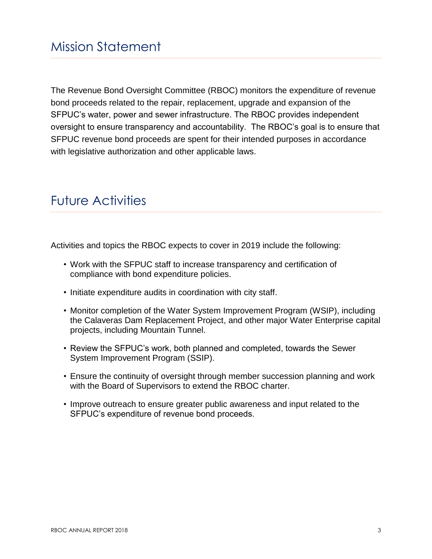The Revenue Bond Oversight Committee (RBOC) monitors the expenditure of revenue bond proceeds related to the repair, replacement, upgrade and expansion of the SFPUC's water, power and sewer infrastructure. The RBOC provides independent oversight to ensure transparency and accountability. The RBOC's goal is to ensure that SFPUC revenue bond proceeds are spent for their intended purposes in accordance with legislative authorization and other applicable laws.

# Future Activities

Activities and topics the RBOC expects to cover in 2019 include the following:

- Work with the SFPUC staff to increase transparency and certification of compliance with bond expenditure policies.
- Initiate expenditure audits in coordination with city staff.
- Monitor completion of the Water System Improvement Program (WSIP), including the Calaveras Dam Replacement Project, and other major Water Enterprise capital projects, including Mountain Tunnel.
- Review the SFPUC's work, both planned and completed, towards the Sewer System Improvement Program (SSIP).
- Ensure the continuity of oversight through member succession planning and work with the Board of Supervisors to extend the RBOC charter.
- Improve outreach to ensure greater public awareness and input related to the SFPUC's expenditure of revenue bond proceeds.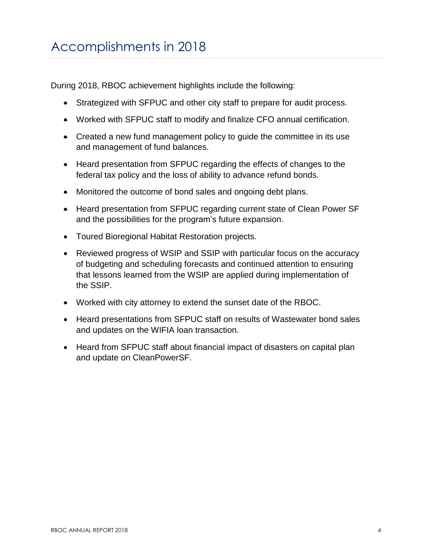During 2018, RBOC achievement highlights include the following:

- Strategized with SFPUC and other city staff to prepare for audit process.
- Worked with SFPUC staff to modify and finalize CFO annual certification.
- Created a new fund management policy to guide the committee in its use and management of fund balances.
- Heard presentation from SFPUC regarding the effects of changes to the federal tax policy and the loss of ability to advance refund bonds.
- Monitored the outcome of bond sales and ongoing debt plans.
- Heard presentation from SFPUC regarding current state of Clean Power SF and the possibilities for the program's future expansion.
- Toured Bioregional Habitat Restoration projects.
- Reviewed progress of WSIP and SSIP with particular focus on the accuracy of budgeting and scheduling forecasts and continued attention to ensuring that lessons learned from the WSIP are applied during implementation of the SSIP.
- Worked with city attorney to extend the sunset date of the RBOC.
- Heard presentations from SFPUC staff on results of Wastewater bond sales and updates on the WIFIA loan transaction.
- Heard from SFPUC staff about financial impact of disasters on capital plan and update on CleanPowerSF.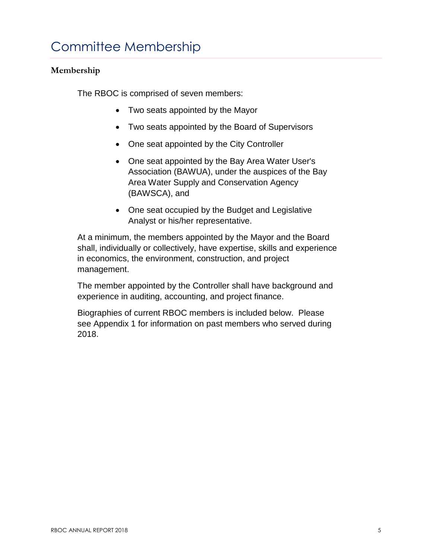### **Membership**

The RBOC is comprised of seven members:

- Two seats appointed by the Mayor
- Two seats appointed by the Board of Supervisors
- One seat appointed by the City Controller
- One seat appointed by the Bay Area Water User's Association (BAWUA), under the auspices of the Bay Area Water Supply and Conservation Agency (BAWSCA), and
- One seat occupied by the Budget and Legislative Analyst or his/her representative.

At a minimum, the members appointed by the Mayor and the Board shall, individually or collectively, have expertise, skills and experience in economics, the environment, construction, and project management.

The member appointed by the Controller shall have background and experience in auditing, accounting, and project finance.

Biographies of current RBOC members is included below. Please see Appendix 1 for information on past members who served during 2018.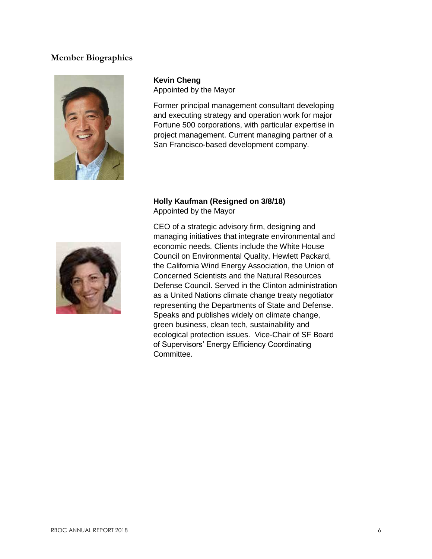### **Member Biographies**



**Kevin Cheng** Appointed by the Mayor

Former principal management consultant developing and executing strategy and operation work for major Fortune 500 corporations, with particular expertise in project management. Current managing partner of a San Francisco-based development company.

### **Holly Kaufman (Resigned on 3/8/18)** Appointed by the Mayor



CEO of a strategic advisory firm, designing and managing initiatives that integrate environmental and economic needs. Clients include the White House Council on Environmental Quality, Hewlett Packard, the California Wind Energy Association, the Union of Concerned Scientists and the Natural Resources Defense Council. Served in the Clinton administration as a United Nations climate change treaty negotiator representing the Departments of State and Defense. Speaks and publishes widely on climate change, green business, clean tech, sustainability and ecological protection issues. Vice-Chair of SF Board of Supervisors' Energy Efficiency Coordinating Committee.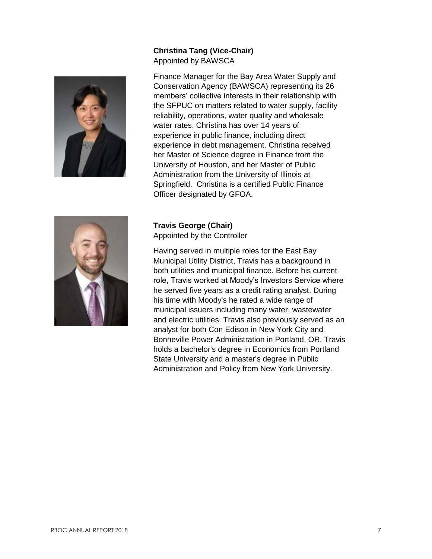### **Christina Tang (Vice-Chair)** Appointed by BAWSCA



Finance Manager for the Bay Area Water Supply and Conservation Agency (BAWSCA) representing its 26 members' collective interests in their relationship with the SFPUC on matters related to water supply, facility reliability, operations, water quality and wholesale water rates. Christina has over 14 years of experience in public finance, including direct experience in debt management. Christina received her Master of Science degree in Finance from the University of Houston, and her Master of Public Administration from the University of Illinois at Springfield. Christina is a certified Public Finance Officer designated by GFOA.



**Travis George (Chair)** Appointed by the Controller

Having served in multiple roles for the East Bay Municipal Utility District, Travis has a background in both utilities and municipal finance. Before his current role, Travis worked at Moody's Investors Service where he served five years as a credit rating analyst. During his time with Moody's he rated a wide range of municipal issuers including many water, wastewater and electric utilities. Travis also previously served as an analyst for both Con Edison in New York City and Bonneville Power Administration in Portland, OR. Travis holds a bachelor's degree in Economics from Portland State University and a master's degree in Public Administration and Policy from New York University.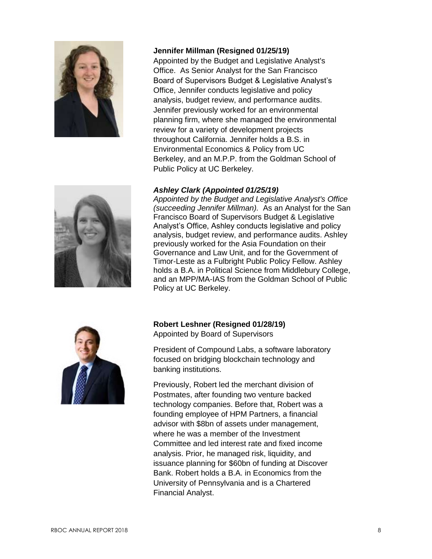

#### **Jennifer Millman (Resigned 01/25/19)**

Appointed by the Budget and Legislative Analyst's Office. As Senior Analyst for the San Francisco Board of Supervisors Budget & Legislative Analyst's Office, Jennifer conducts legislative and policy analysis, budget review, and performance audits. Jennifer previously worked for an environmental planning firm, where she managed the environmental review for a variety of development projects throughout California. Jennifer holds a B.S. in Environmental Economics & Policy from UC Berkeley, and an M.P.P. from the Goldman School of Public Policy at UC Berkeley.

#### *Ashley Clark (Appointed 01/25/19)*

*Appointed by the Budget and Legislative Analyst's Office (succeeding Jennifer Millman).* As an Analyst for the San Francisco Board of Supervisors Budget & Legislative Analyst's Office, Ashley conducts legislative and policy analysis, budget review, and performance audits. Ashley previously worked for the Asia Foundation on their Governance and Law Unit, and for the Government of Timor-Leste as a Fulbright Public Policy Fellow. Ashley holds a B.A. in Political Science from Middlebury College, and an MPP/MA-IAS from the Goldman School of Public Policy at UC Berkeley.



**Robert Leshner (Resigned 01/28/19)** Appointed by Board of Supervisors

President of Compound Labs, a software laboratory focused on bridging blockchain technology and banking institutions.

Previously, Robert led the merchant division of Postmates, after founding two venture backed technology companies. Before that, Robert was a founding employee of HPM Partners, a financial advisor with \$8bn of assets under management, where he was a member of the Investment Committee and led interest rate and fixed income analysis. Prior, he managed risk, liquidity, and issuance planning for \$60bn of funding at Discover Bank. Robert holds a B.A. in Economics from the University of Pennsylvania and is a Chartered Financial Analyst.

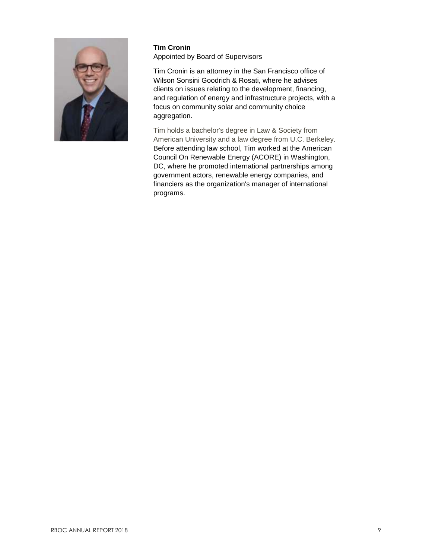

#### **Tim Cronin**  Appointed by Board of Supervisors

Tim Cronin is an attorney in the San Francisco office of Wilson Sonsini Goodrich & Rosati, where he advises clients on issues relating to the development, financing, and regulation of energy and infrastructure projects, with a focus on community solar and community choice aggregation.

Tim holds a bachelor's degree in Law & Society from American University and a law degree from U.C. Berkeley. Before attending law school, Tim worked at the American Council On Renewable Energy (ACORE) in Washington, DC, where he promoted international partnerships among government actors, renewable energy companies, and financiers as the organization's manager of international programs.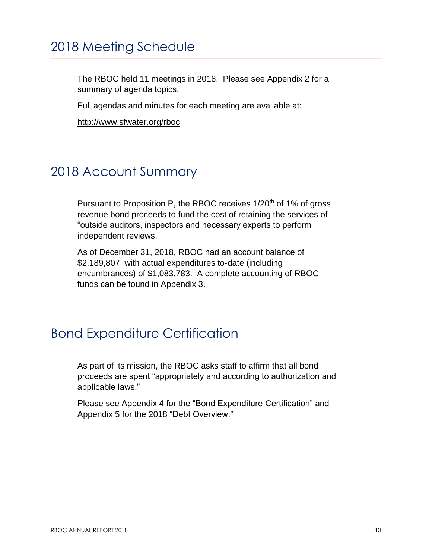# 2018 Meeting Schedule

The RBOC held 11 meetings in 2018. Please see Appendix 2 for a summary of agenda topics.

Full agendas and minutes for each meeting are available at:

<http://www.sfwater.org/rboc>

### 2018 Account Summary

Pursuant to Proposition P, the RBOC receives 1/20<sup>th</sup> of 1% of gross revenue bond proceeds to fund the cost of retaining the services of "outside auditors, inspectors and necessary experts to perform independent reviews.

As of December 31, 2018, RBOC had an account balance of \$2,189,807 with actual expenditures to-date (including encumbrances) of \$1,083,783. A complete accounting of RBOC funds can be found in Appendix 3.

### Bond Expenditure Certification

As part of its mission, the RBOC asks staff to affirm that all bond proceeds are spent "appropriately and according to authorization and applicable laws."

Please see Appendix 4 for the "Bond Expenditure Certification" and Appendix 5 for the 2018 "Debt Overview."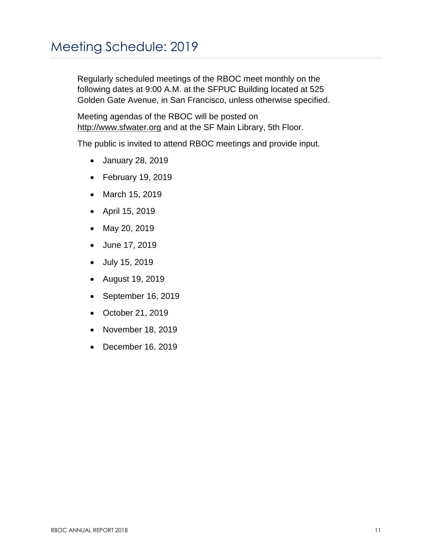Regularly scheduled meetings of the RBOC meet monthly on the following dates at 9:00 A.M. at the SFPUC Building located at 525 Golden Gate Avenue, in San Francisco, unless otherwise specified.

Meeting agendas of the RBOC will be posted on [http://www.sfwater.org](http://www.sfwater.org/) and at the SF Main Library, 5th Floor.

The public is invited to attend RBOC meetings and provide input.

- January 28, 2019
- February 19, 2019
- March 15, 2019
- April 15, 2019
- May 20, 2019
- June 17, 2019
- July 15, 2019
- August 19, 2019
- September 16, 2019
- October 21, 2019
- November 18, 2019
- December 16, 2019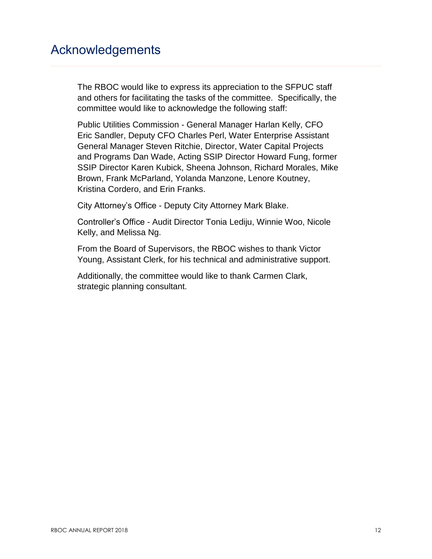### Acknowledgements

The RBOC would like to express its appreciation to the SFPUC staff and others for facilitating the tasks of the committee. Specifically, the committee would like to acknowledge the following staff:

Public Utilities Commission - General Manager Harlan Kelly, CFO Eric Sandler, Deputy CFO Charles Perl, Water Enterprise Assistant General Manager Steven Ritchie, Director, Water Capital Projects and Programs Dan Wade, Acting SSIP Director Howard Fung, former SSIP Director Karen Kubick, Sheena Johnson, Richard Morales, Mike Brown, Frank McParland, Yolanda Manzone, Lenore Koutney, Kristina Cordero, and Erin Franks.

City Attorney's Office - Deputy City Attorney Mark Blake.

Controller's Office - Audit Director Tonia Lediju, Winnie Woo, Nicole Kelly, and Melissa Ng.

From the Board of Supervisors, the RBOC wishes to thank Victor Young, Assistant Clerk, for his technical and administrative support.

Additionally, the committee would like to thank Carmen Clark, strategic planning consultant.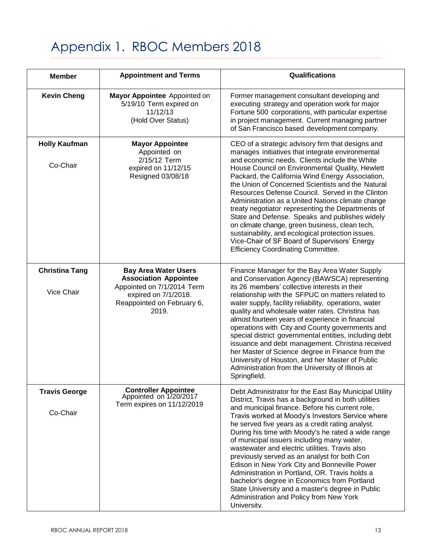# Appendix 1. RBOC Members 2018

| <b>Member</b>                       | <b>Appointment and Terms</b>                                                                                                                             | Qualifications                                                                                                                                                                                                                                                                                                                                                                                                                                                                                                                                                                                                                                                                                                                                |
|-------------------------------------|----------------------------------------------------------------------------------------------------------------------------------------------------------|-----------------------------------------------------------------------------------------------------------------------------------------------------------------------------------------------------------------------------------------------------------------------------------------------------------------------------------------------------------------------------------------------------------------------------------------------------------------------------------------------------------------------------------------------------------------------------------------------------------------------------------------------------------------------------------------------------------------------------------------------|
| <b>Kevin Cheng</b>                  | Mayor Appointee Appointed on<br>5/19/10 Term expired on<br>11/12/13<br>(Hold Over Status)                                                                | Former management consultant developing and<br>executing strategy and operation work for major<br>Fortune 500 corporations, with particular expertise<br>in project management. Current managing partner<br>of San Francisco based development company.                                                                                                                                                                                                                                                                                                                                                                                                                                                                                       |
| <b>Holly Kaufman</b><br>Co-Chair    | <b>Mayor Appointee</b><br>Appointed on<br>2/15/12 Term<br>expired on 11/12/15<br>Resigned 03/08/18                                                       | CEO of a strategic advisory firm that designs and<br>manages initiatives that integrate environmental<br>and economic needs. Clients include the White<br>House Council on Environmental Quality, Hewlett<br>Packard, the California Wind Energy Association,<br>the Union of Concerned Scientists and the Natural<br>Resources Defense Council. Served in the Clinton<br>Administration as a United Nations climate change<br>treaty negotiator representing the Departments of<br>State and Defense. Speaks and publishes widely<br>on climate change, green business, clean tech,<br>sustainability, and ecological protection issues.<br>Vice-Chair of SF Board of Supervisors' Energy<br><b>Efficiency Coordinating Committee.</b>       |
| <b>Christina Tang</b><br>Vice Chair | <b>Bay Area Water Users</b><br><b>Association Appointee</b><br>Appointed on 7/1/2014 Term<br>expired on 7/1/2018.<br>Reappointed on February 6,<br>2019. | Finance Manager for the Bay Area Water Supply<br>and Conservation Agency (BAWSCA) representing<br>its 26 members' collective interests in their<br>relationship with the SFPUC on matters related to<br>water supply, facility reliability, operations, water<br>quality and wholesale water rates. Christina has<br>almost fourteen years of experience in financial<br>operations with City and County governments and<br>special district governmental entities, including debt<br>issuance and debt management. Christina received<br>her Master of Science degree in Finance from the<br>University of Houston, and her Master of Public<br>Administration from the University of Illinois at<br>Springfield.                            |
| <b>Travis George</b><br>Co-Chair    | <b>Controller Appointee</b><br>Appointed on 1/20/2017<br>Term expires on 11/12/2019                                                                      | Debt Administrator for the East Bay Municipal Utility<br>District, Travis has a background in both utilities<br>and municipal finance. Before his current role,<br>Travis worked at Moody's Investors Service where<br>he served five years as a credit rating analyst.<br>During his time with Moody's he rated a wide range<br>of municipal issuers including many water,<br>wastewater and electric utilities. Travis also<br>previously served as an analyst for both Con<br>Edison in New York City and Bonneville Power<br>Administration in Portland, OR. Travis holds a<br>bachelor's degree in Economics from Portland<br>State University and a master's degree in Public<br>Administration and Policy from New York<br>University. |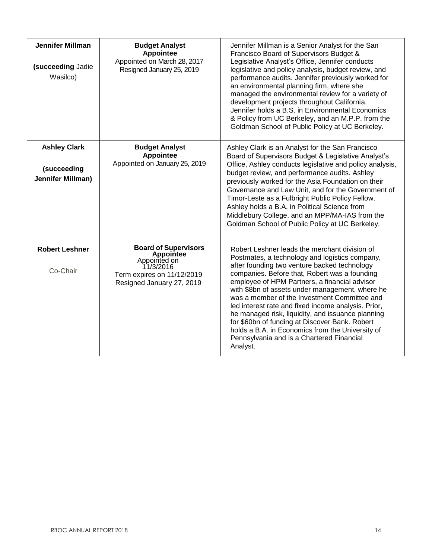| <b>Jennifer Millman</b><br>(succeeding Jadie<br>Wasilco)       | <b>Budget Analyst</b><br><b>Appointee</b><br>Appointed on March 28, 2017<br>Resigned January 25, 2019                                   | Jennifer Millman is a Senior Analyst for the San<br>Francisco Board of Supervisors Budget &<br>Legislative Analyst's Office, Jennifer conducts<br>legislative and policy analysis, budget review, and<br>performance audits. Jennifer previously worked for<br>an environmental planning firm, where she<br>managed the environmental review for a variety of<br>development projects throughout California.<br>Jennifer holds a B.S. in Environmental Economics<br>& Policy from UC Berkeley, and an M.P.P. from the<br>Goldman School of Public Policy at UC Berkeley.                                                        |
|----------------------------------------------------------------|-----------------------------------------------------------------------------------------------------------------------------------------|---------------------------------------------------------------------------------------------------------------------------------------------------------------------------------------------------------------------------------------------------------------------------------------------------------------------------------------------------------------------------------------------------------------------------------------------------------------------------------------------------------------------------------------------------------------------------------------------------------------------------------|
| <b>Ashley Clark</b><br>(succeeding<br><b>Jennifer Millman)</b> | <b>Budget Analyst</b><br><b>Appointee</b><br>Appointed on January 25, 2019                                                              | Ashley Clark is an Analyst for the San Francisco<br>Board of Supervisors Budget & Legislative Analyst's<br>Office, Ashley conducts legislative and policy analysis,<br>budget review, and performance audits. Ashley<br>previously worked for the Asia Foundation on their<br>Governance and Law Unit, and for the Government of<br>Timor-Leste as a Fulbright Public Policy Fellow.<br>Ashley holds a B.A. in Political Science from<br>Middlebury College, and an MPP/MA-IAS from the<br>Goldman School of Public Policy at UC Berkeley.                                                                                      |
| <b>Robert Leshner</b><br>Co-Chair                              | <b>Board of Supervisors</b><br><b>Appointee</b><br>Appointed on<br>11/3/2016<br>Term expires on 11/12/2019<br>Resigned January 27, 2019 | Robert Leshner leads the merchant division of<br>Postmates, a technology and logistics company,<br>after founding two venture backed technology<br>companies. Before that, Robert was a founding<br>employee of HPM Partners, a financial advisor<br>with \$8bn of assets under management, where he<br>was a member of the Investment Committee and<br>led interest rate and fixed income analysis. Prior,<br>he managed risk, liquidity, and issuance planning<br>for \$60bn of funding at Discover Bank. Robert<br>holds a B.A. in Economics from the University of<br>Pennsylvania and is a Chartered Financial<br>Analyst. |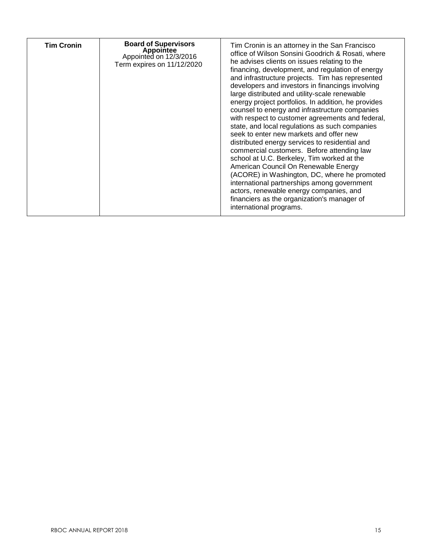| <b>Tim Cronin</b> | <b>Board of Supervisors</b><br><b>Appointee</b><br>Appointed on 12/3/2016<br>Term expires on 11/12/2020 | Tim Cronin is an attorney in the San Francisco<br>office of Wilson Sonsini Goodrich & Rosati, where<br>he advises clients on issues relating to the<br>financing, development, and regulation of energy<br>and infrastructure projects. Tim has represented<br>developers and investors in financings involving<br>large distributed and utility-scale renewable<br>energy project portfolios. In addition, he provides<br>counsel to energy and infrastructure companies<br>with respect to customer agreements and federal,<br>state, and local regulations as such companies<br>seek to enter new markets and offer new<br>distributed energy services to residential and<br>commercial customers. Before attending law<br>school at U.C. Berkeley, Tim worked at the<br>American Council On Renewable Energy<br>(ACORE) in Washington, DC, where he promoted<br>international partnerships among government<br>actors, renewable energy companies, and<br>financiers as the organization's manager of<br>international programs. |
|-------------------|---------------------------------------------------------------------------------------------------------|--------------------------------------------------------------------------------------------------------------------------------------------------------------------------------------------------------------------------------------------------------------------------------------------------------------------------------------------------------------------------------------------------------------------------------------------------------------------------------------------------------------------------------------------------------------------------------------------------------------------------------------------------------------------------------------------------------------------------------------------------------------------------------------------------------------------------------------------------------------------------------------------------------------------------------------------------------------------------------------------------------------------------------------|
|-------------------|---------------------------------------------------------------------------------------------------------|--------------------------------------------------------------------------------------------------------------------------------------------------------------------------------------------------------------------------------------------------------------------------------------------------------------------------------------------------------------------------------------------------------------------------------------------------------------------------------------------------------------------------------------------------------------------------------------------------------------------------------------------------------------------------------------------------------------------------------------------------------------------------------------------------------------------------------------------------------------------------------------------------------------------------------------------------------------------------------------------------------------------------------------|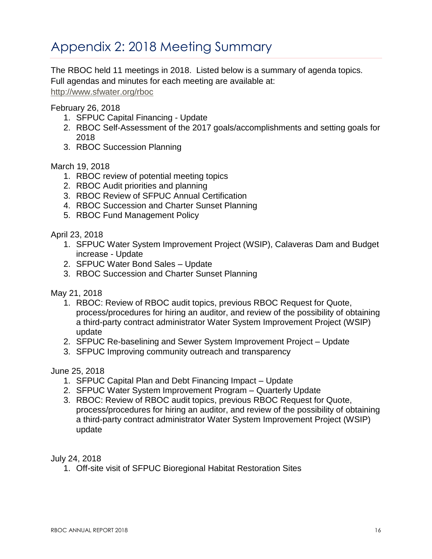# Appendix 2: 2018 Meeting Summary

The RBOC held 11 meetings in 2018. Listed below is a summary of agenda topics. Full agendas and minutes for each meeting are available at:

<http://www.sfwater.org/rboc>

### February 26, 2018

- 1. SFPUC Capital Financing Update
- 2. RBOC Self-Assessment of the 2017 goals/accomplishments and setting goals for 2018
- 3. RBOC Succession Planning

### March 19, 2018

- 1. RBOC review of potential meeting topics
- 2. RBOC Audit priorities and planning
- 3. RBOC Review of SFPUC Annual Certification
- 4. RBOC Succession and Charter Sunset Planning
- 5. RBOC Fund Management Policy

April 23, 2018

- 1. SFPUC Water System Improvement Project (WSIP), Calaveras Dam and Budget increase - Update
- 2. SFPUC Water Bond Sales Update
- 3. RBOC Succession and Charter Sunset Planning

May 21, 2018

- 1. RBOC: Review of RBOC audit topics, previous RBOC Request for Quote, process/procedures for hiring an auditor, and review of the possibility of obtaining a third-party contract administrator Water System Improvement Project (WSIP) update
- 2. SFPUC Re-baselining and Sewer System Improvement Project Update
- 3. SFPUC Improving community outreach and transparency

June 25, 2018

- 1. SFPUC Capital Plan and Debt Financing Impact Update
- 2. SFPUC Water System Improvement Program Quarterly Update
- 3. RBOC: Review of RBOC audit topics, previous RBOC Request for Quote, process/procedures for hiring an auditor, and review of the possibility of obtaining a third-party contract administrator Water System Improvement Project (WSIP) update

July 24, 2018

1. Off-site visit of SFPUC Bioregional Habitat Restoration Sites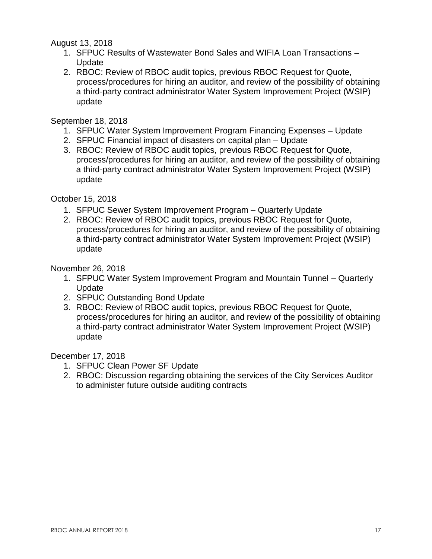August 13, 2018

- 1. SFPUC Results of Wastewater Bond Sales and WIFIA Loan Transactions **Update**
- 2. RBOC: Review of RBOC audit topics, previous RBOC Request for Quote, process/procedures for hiring an auditor, and review of the possibility of obtaining a third-party contract administrator Water System Improvement Project (WSIP) update

September 18, 2018

- 1. SFPUC Water System Improvement Program Financing Expenses Update
- 2. SFPUC Financial impact of disasters on capital plan Update
- 3. RBOC: Review of RBOC audit topics, previous RBOC Request for Quote, process/procedures for hiring an auditor, and review of the possibility of obtaining a third-party contract administrator Water System Improvement Project (WSIP) update

October 15, 2018

- 1. SFPUC Sewer System Improvement Program Quarterly Update
- 2. RBOC: Review of RBOC audit topics, previous RBOC Request for Quote, process/procedures for hiring an auditor, and review of the possibility of obtaining a third-party contract administrator Water System Improvement Project (WSIP) update

November 26, 2018

- 1. SFPUC Water System Improvement Program and Mountain Tunnel Quarterly Update
- 2. SFPUC Outstanding Bond Update
- 3. RBOC: Review of RBOC audit topics, previous RBOC Request for Quote, process/procedures for hiring an auditor, and review of the possibility of obtaining a third-party contract administrator Water System Improvement Project (WSIP) update

December 17, 2018

- 1. SFPUC Clean Power SF Update
- 2. RBOC: Discussion regarding obtaining the services of the City Services Auditor to administer future outside auditing contracts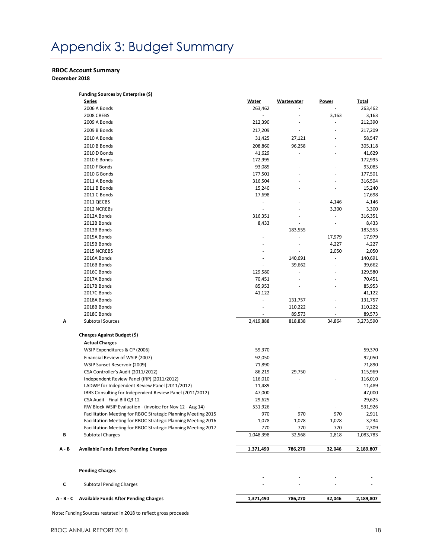# Appendix 3: Budget Summary

#### **RBOC Account Summary**

**December 2018**

| 263,462<br>212,390<br>217,209<br>31,425<br>208,860<br>41,629<br>172,995 | ÷,<br>27,121<br>96,258                                                       | 3,163                          | 263,462<br>3,163<br>212,390<br>217,209     |
|-------------------------------------------------------------------------|------------------------------------------------------------------------------|--------------------------------|--------------------------------------------|
|                                                                         |                                                                              |                                |                                            |
|                                                                         |                                                                              |                                |                                            |
|                                                                         |                                                                              |                                |                                            |
|                                                                         |                                                                              |                                |                                            |
|                                                                         |                                                                              |                                | 58,547                                     |
|                                                                         |                                                                              |                                | 305,118                                    |
|                                                                         |                                                                              |                                | 41,629                                     |
|                                                                         |                                                                              |                                | 172,995                                    |
| 93,085                                                                  |                                                                              |                                | 93,085                                     |
| 177,501                                                                 |                                                                              |                                | 177,501                                    |
| 316,504                                                                 |                                                                              |                                | 316,504                                    |
| 15,240                                                                  |                                                                              |                                | 15,240                                     |
| 17,698                                                                  |                                                                              | ÷,                             | 17,698                                     |
| ÷,                                                                      |                                                                              | 4,146                          | 4,146                                      |
| L,                                                                      |                                                                              | 3,300                          | 3,300                                      |
| 316,351                                                                 |                                                                              | ä,                             | 316,351                                    |
| 8,433                                                                   |                                                                              |                                | 8,433                                      |
| ÷,                                                                      | 183,555                                                                      | ÷,                             | 183,555                                    |
| ä,                                                                      |                                                                              | 17,979                         | 17,979                                     |
|                                                                         |                                                                              | 4,227                          | 4,227                                      |
|                                                                         |                                                                              | 2,050                          | 2,050                                      |
|                                                                         | 140,691                                                                      |                                | 140,691                                    |
|                                                                         | 39,662                                                                       |                                | 39,662                                     |
| 129,580                                                                 | Ĭ.                                                                           |                                | 129,580                                    |
| 70,451                                                                  |                                                                              |                                | 70,451                                     |
| 85,953                                                                  |                                                                              |                                | 85,953                                     |
| 41,122                                                                  |                                                                              |                                | 41,122                                     |
|                                                                         | 131,757                                                                      |                                | 131,757                                    |
|                                                                         | 110,222                                                                      |                                | 110,222                                    |
|                                                                         | 89,573                                                                       |                                | 89,573                                     |
| 2,419,888                                                               | 818,838                                                                      | 34,864                         | 3,273,590                                  |
|                                                                         |                                                                              |                                |                                            |
|                                                                         |                                                                              |                                |                                            |
| 59,370                                                                  |                                                                              |                                | 59,370                                     |
| 92,050                                                                  |                                                                              |                                | 92,050                                     |
| 71,890                                                                  |                                                                              |                                | 71,890                                     |
| 86,219                                                                  | 29,750                                                                       |                                | 115,969                                    |
| 116,010                                                                 |                                                                              |                                | 116,010                                    |
| 11,489                                                                  |                                                                              |                                | 11,489                                     |
|                                                                         |                                                                              |                                | 47,000                                     |
|                                                                         |                                                                              |                                | 29,625                                     |
|                                                                         |                                                                              |                                | 531,926                                    |
|                                                                         |                                                                              |                                | 2,911                                      |
|                                                                         |                                                                              |                                | 3,234                                      |
|                                                                         |                                                                              |                                | 2,309                                      |
|                                                                         | 32,568                                                                       | 2,818                          | 1,083,783                                  |
|                                                                         |                                                                              |                                | 2,189,807                                  |
|                                                                         | 47,000<br>29,625<br>531,926<br>970<br>1,078<br>770<br>$\overline{1,}048,398$ | 970<br>1,078<br>770<br>786,270 | 970<br>1,078<br>770<br>1,371,490<br>32,046 |

| Subtotal Pending Charges                        |           |         |        |           |
|-------------------------------------------------|-----------|---------|--------|-----------|
| A - B - C Available Funds After Pending Charges | 1.371.490 | 786.270 | 32.046 | 2.189.807 |

Note: Funding Sources restated in 2018 to reflect gross proceeds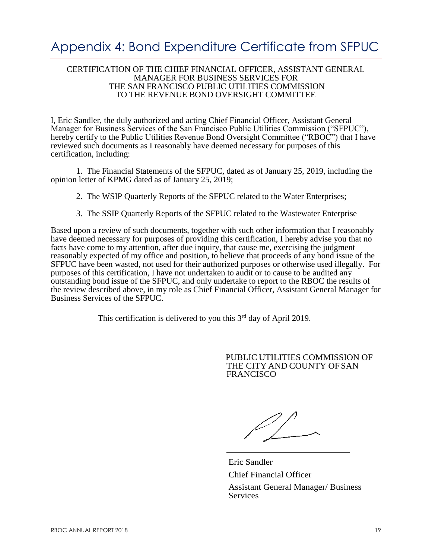# Appendix 4: Bond Expenditure Certificate from SFPUC

#### CERTIFICATION OF THE CHIEF FINANCIAL OFFICER, ASSISTANT GENERAL MANAGER FOR BUSINESS SERVICES FOR THE SAN FRANCISCO PUBLIC UTILITIES COMMISSION TO THE REVENUE BOND OVERSIGHT COMMITTEE

I, Eric Sandler, the duly authorized and acting Chief Financial Officer, Assistant General Manager for Business Services of the San Francisco Public Utilities Commission ("SFPUC"), hereby certify to the Public Utilities Revenue Bond Oversight Committee ("RBOC") that I have reviewed such documents as I reasonably have deemed necessary for purposes of this certification, including:

1. The Financial Statements of the SFPUC, dated as of January 25, 2019, including the opinion letter of KPMG dated as of January 25, 2019;

2. The WSIP Quarterly Reports of the SFPUC related to the Water Enterprises;

3. The SSIP Quarterly Reports of the SFPUC related to the Wastewater Enterprise

Based upon a review of such documents, together with such other information that I reasonably have deemed necessary for purposes of providing this certification, I hereby advise you that no facts have come to my attention, after due inquiry, that cause me, exercising the judgment reasonably expected of my office and position, to believe that proceeds of any bond issue of the SFPUC have been wasted, not used for their authorized purposes or otherwise used illegally. For purposes of this certification, I have not undertaken to audit or to cause to be audited any outstanding bond issue of the SFPUC, and only undertake to report to the RBOC the results of the review described above, in my role as Chief Financial Officer, Assistant General Manager for Business Services of the SFPUC.

This certification is delivered to you this  $3<sup>rd</sup>$  day of April 2019.

PUBLIC UTILITIES COMMISSION OF THE CITY AND COUNTY OF SAN **FRANCISCO** 

Eric Sandler Chief Financial Officer

Assistant General Manager/ Business Services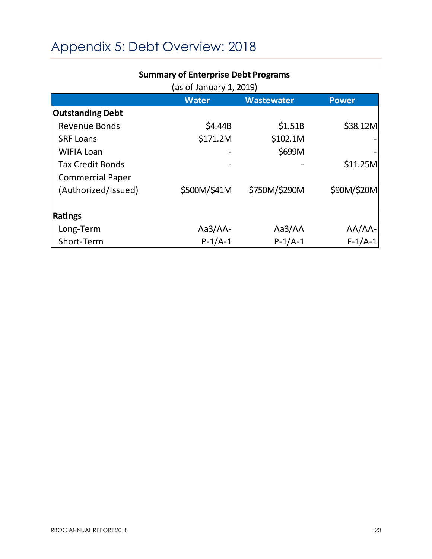# Appendix 5: Debt Overview: 2018

|                         | (as of January 1, 2019) |                   |              |
|-------------------------|-------------------------|-------------------|--------------|
|                         | <b>Water</b>            | <b>Wastewater</b> | <b>Power</b> |
| <b>Outstanding Debt</b> |                         |                   |              |
| <b>Revenue Bonds</b>    | \$4.44B                 | \$1.51B           | \$38.12M     |
| <b>SRF Loans</b>        | \$171.2M                | \$102.1M          |              |
| <b>WIFIA Loan</b>       |                         | \$699M            |              |
| <b>Tax Credit Bonds</b> |                         |                   | \$11.25M     |
| <b>Commercial Paper</b> |                         |                   |              |
| (Authorized/Issued)     | \$500M/\$41M            | \$750M/\$290M     | \$90M/\$20M  |
|                         |                         |                   |              |
| <b>Ratings</b>          |                         |                   |              |
| Long-Term               | $Aa3/AA-$               | Aa3/AA            | $AA/AA$ -    |
| Short-Term              | $P-1/A-1$               | $P-1/A-1$         | $F-1/A-1$    |

### **Summary of Enterprise Debt Programs**

 $\hat{\mathcal{A}}$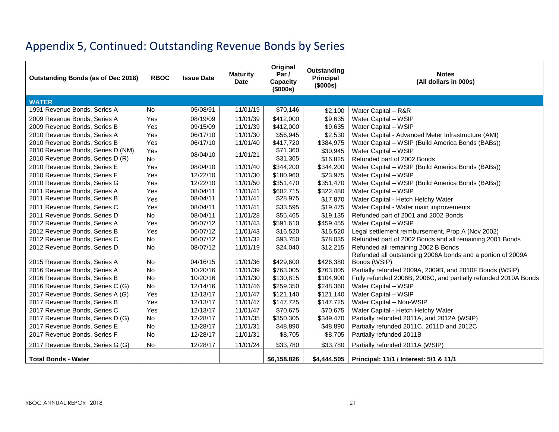# Appendix 5, Continued: Outstanding Revenue Bonds by Series

| Outstanding Bonds (as of Dec 2018) | <b>RBOC</b> | <b>Issue Date</b> | <b>Maturity</b><br><b>Date</b> | Original<br>Par $/$<br>Capacity<br>(\$000s) | Outstanding<br>Principal<br>(\$000s) | <b>Notes</b><br>(All dollars in 000s)                           |
|------------------------------------|-------------|-------------------|--------------------------------|---------------------------------------------|--------------------------------------|-----------------------------------------------------------------|
| <b>WATER</b>                       |             |                   |                                |                                             |                                      |                                                                 |
| 1991 Revenue Bonds, Series A       | <b>No</b>   | 05/08/91          | 11/01/19                       | \$70,146                                    | \$2,100                              | Water Capital - R&R                                             |
| 2009 Revenue Bonds, Series A       | Yes         | 08/19/09          | 11/01/39                       | \$412,000                                   | \$9,635                              | Water Capital - WSIP                                            |
| 2009 Revenue Bonds, Series B       | Yes         | 09/15/09          | 11/01/39                       | \$412,000                                   | \$9,635                              | Water Capital - WSIP                                            |
| 2010 Revenue Bonds, Series A       | Yes         | 06/17/10          | 11/01/30                       | \$56,945                                    | \$2,530                              | Water Capital - Advanced Meter Infrastructure (AMI)             |
| 2010 Revenue Bonds, Series B       | Yes         | 06/17/10          | 11/01/40                       | \$417,720                                   | \$384,975                            | Water Capital - WSIP (Build America Bonds (BABs))               |
| 2010 Revenue Bonds, Series D (NM)  | Yes         | 08/04/10          | 11/01/21                       | \$71,360                                    | \$30,945                             | Water Capital - WSIP                                            |
| 2010 Revenue Bonds, Series D (R)   | <b>No</b>   |                   |                                | \$31,365                                    | \$16,825                             | Refunded part of 2002 Bonds                                     |
| 2010 Revenue Bonds, Series E       | Yes         | 08/04/10          | 11/01/40                       | \$344,200                                   | \$344,200                            | Water Capital - WSIP (Build America Bonds (BABs))               |
| 2010 Revenue Bonds, Series F       | Yes         | 12/22/10          | 11/01/30                       | \$180,960                                   | \$23,975                             | Water Capital - WSIP                                            |
| 2010 Revenue Bonds, Series G       | Yes         | 12/22/10          | 11/01/50                       | \$351,470                                   | \$351,470                            | Water Capital - WSIP (Build America Bonds (BABs))               |
| 2011 Revenue Bonds, Series A       | Yes         | 08/04/11          | 11/01/41                       | \$602,715                                   | \$322,480                            | Water Capital - WSIP                                            |
| 2011 Revenue Bonds, Series B       | Yes         | 08/04/11          | 11/01/41                       | \$28,975                                    | \$17,870                             | Water Capital - Hetch Hetchy Water                              |
| 2011 Revenue Bonds, Series C       | Yes         | 08/04/11          | 11/01/41                       | \$33,595                                    | \$19,475                             | Water Capital - Water main improvements                         |
| 2011 Revenue Bonds, Series D       | No          | 08/04/11          | 11/01/28                       | \$55,465                                    | \$19,135                             | Refunded part of 2001 and 2002 Bonds                            |
| 2012 Revenue Bonds, Series A       | Yes         | 06/07/12          | 11/01/43                       | \$591,610                                   | \$459,455                            | Water Capital - WSIP                                            |
| 2012 Revenue Bonds, Series B       | Yes         | 06/07/12          | 11/01/43                       | \$16,520                                    | \$16,520                             | Legal settlement reimbursement, Prop A (Nov 2002)               |
| 2012 Revenue Bonds, Series C       | No          | 06/07/12          | 11/01/32                       | \$93,750                                    | \$78,035                             | Refunded part of 2002 Bonds and all remaining 2001 Bonds        |
| 2012 Revenue Bonds, Series D       | <b>No</b>   | 08/07/12          | 11/01/19                       | \$24,040                                    | \$12,215                             | Refunded all remaining 2002 B Bonds                             |
|                                    |             |                   |                                |                                             |                                      | Refunded all outstanding 2006A bonds and a portion of 2009A     |
| 2015 Revenue Bonds, Series A       | No          | 04/16/15          | 11/01/36                       | \$429,600                                   | \$426,380                            | Bonds (WSIP)                                                    |
| 2016 Revenue Bonds, Series A       | No          | 10/20/16          | 11/01/39                       | \$763,005                                   | \$763,005                            | Partially refunded 2009A, 2009B, and 2010F Bonds (WSIP)         |
| 2016 Revenue Bonds, Series B       | No          | 10/20/16          | 11/01/30                       | \$130,815                                   | \$104,900                            | Fully refunded 2006B, 2006C, and partially refunded 2010A Bonds |
| 2016 Revenue Bonds, Series C (G)   | <b>No</b>   | 12/14/16          | 11/01/46                       | \$259,350                                   | \$248,360                            | Water Capital - WSIP                                            |
| 2017 Revenue Bonds, Series A (G)   | Yes         | 12/13/17          | 11/01/47                       | \$121,140                                   | \$121,140                            | Water Capital - WSIP                                            |
| 2017 Revenue Bonds, Series B       | Yes         | 12/13/17          | 11/01/47                       | \$147,725                                   | \$147,725                            | Water Capital - Non-WSIP                                        |
| 2017 Revenue Bonds, Series C       | Yes         | 12/13/17          | 11/01/47                       | \$70,675                                    | \$70,675                             | Water Capital - Hetch Hetchy Water                              |
| 2017 Revenue Bonds, Series D (G)   | No          | 12/28/17          | 11/01/35                       | \$350,305                                   | \$349,470                            | Partially refunded 2011A, and 2012A (WSIP)                      |
| 2017 Revenue Bonds, Series E       | No.         | 12/28/17          | 11/01/31                       | \$48,890                                    | \$48,890                             | Partially refunded 2011C, 2011D and 2012C                       |
| 2017 Revenue Bonds, Series F       | <b>No</b>   | 12/28/17          | 11/01/31                       | \$8,705                                     | \$8,705                              | Partially refunded 2011B                                        |
| 2017 Revenue Bonds, Series G (G)   | No          | 12/28/17          | 11/01/24                       | \$33,780                                    | \$33,780                             | Partially refunded 2011A (WSIP)                                 |
| <b>Total Bonds - Water</b>         |             |                   |                                | \$6,158,826                                 | \$4,444,505                          | Principal: 11/1 / Interest: 5/1 & 11/1                          |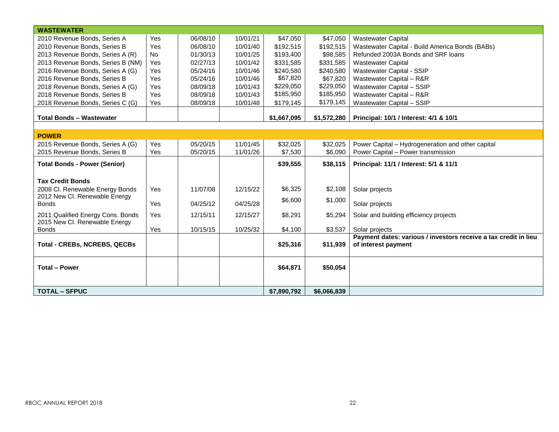| <b>WASTEWATER</b>                   |            |          |          |             |             |                                                                 |
|-------------------------------------|------------|----------|----------|-------------|-------------|-----------------------------------------------------------------|
| 2010 Revenue Bonds, Series A        | Yes        | 06/08/10 | 10/01/21 | \$47,050    | \$47,050    | <b>Wastewater Capital</b>                                       |
| 2010 Revenue Bonds, Series B        | <b>Yes</b> | 06/08/10 | 10/01/40 | \$192,515   | \$192,515   | Wastewater Capital - Build America Bonds (BABs)                 |
| 2013 Revenue Bonds, Series A (R)    | <b>No</b>  | 01/30/13 | 10/01/25 | \$193,400   | \$98,585    | Refunded 2003A Bonds and SRF loans                              |
| 2013 Revenue Bonds, Series B (NM)   | Yes        | 02/27/13 | 10/01/42 | \$331,585   | \$331,585   | <b>Wastewater Capital</b>                                       |
| 2016 Revenue Bonds, Series A (G)    | Yes        | 05/24/16 | 10/01/46 | \$240,580   | \$240,580   | Wastewater Capital - SSIP                                       |
| 2016 Revenue Bonds, Series B        | Yes        | 05/24/16 | 10/01/46 | \$67,820    | \$67,820    | Wastewater Capital - R&R                                        |
| 2018 Revenue Bonds, Series A (G)    | Yes        | 08/09/18 | 10/01/43 | \$229,050   | \$229,050   | Wastewater Capital - SSIP                                       |
| 2018 Revenue Bonds, Series B        | Yes        | 08/09/18 | 10/01/43 | \$185,950   | \$185,950   | Wastewater Capital - R&R                                        |
| 2018 Revenue Bonds, Series C (G)    | Yes        | 08/09/18 | 10/01/48 | \$179,145   | \$179,145   | Wastewater Capital - SSIP                                       |
|                                     |            |          |          |             |             |                                                                 |
| <b>Total Bonds - Wastewater</b>     |            |          |          | \$1,667,095 | \$1,572,280 | Principal: 10/1 / Interest: 4/1 & 10/1                          |
|                                     |            |          |          |             |             |                                                                 |
| <b>POWER</b>                        |            |          |          |             |             |                                                                 |
| 2015 Revenue Bonds, Series A (G)    | Yes        | 05/20/15 | 11/01/45 | \$32,025    | \$32,025    | Power Capital - Hydrogeneration and other capital               |
| 2015 Revenue Bonds, Series B        | Yes        | 05/20/15 | 11/01/26 | \$7,530     | \$6,090     | Power Capital - Power transmission                              |
| <b>Total Bonds - Power (Senior)</b> |            |          |          | \$39,555    | \$38,115    | Principal: 11/1 / Interest: 5/1 & 11/1                          |
|                                     |            |          |          |             |             |                                                                 |
| <b>Tax Credit Bonds</b>             |            |          |          |             |             |                                                                 |
| 2008 Cl. Renewable Energy Bonds     | Yes        | 11/07/08 | 12/15/22 | \$6,325     | \$2,108     | Solar projects                                                  |
| 2012 New Cl. Renewable Energy       |            |          |          | \$6,600     | \$1,000     |                                                                 |
| <b>Bonds</b>                        | Yes        | 04/25/12 | 04/25/28 |             |             | Solar projects                                                  |
| 2011 Qualified Energy Cons. Bonds   | Yes        | 12/15/11 | 12/15/27 | \$8,291     | \$5,294     | Solar and building efficiency projects                          |
| 2015 New Cl. Renewable Energy       |            |          |          |             |             |                                                                 |
| <b>Bonds</b>                        | Yes        | 10/15/15 | 10/25/32 | \$4,100     | \$3,537     | Solar projects                                                  |
|                                     |            |          |          |             |             | Payment dates: various / investors receive a tax credit in lieu |
| <b>Total - CREBs, NCREBS, QECBs</b> |            |          |          | \$25,316    | \$11,939    | of interest payment                                             |
|                                     |            |          |          |             |             |                                                                 |
|                                     |            |          |          |             |             |                                                                 |
| <b>Total - Power</b>                |            |          |          | \$64,871    | \$50,054    |                                                                 |
|                                     |            |          |          |             |             |                                                                 |
| <b>TOTAL - SFPUC</b>                |            |          |          | \$7,890,792 | \$6,066,839 |                                                                 |
|                                     |            |          |          |             |             |                                                                 |